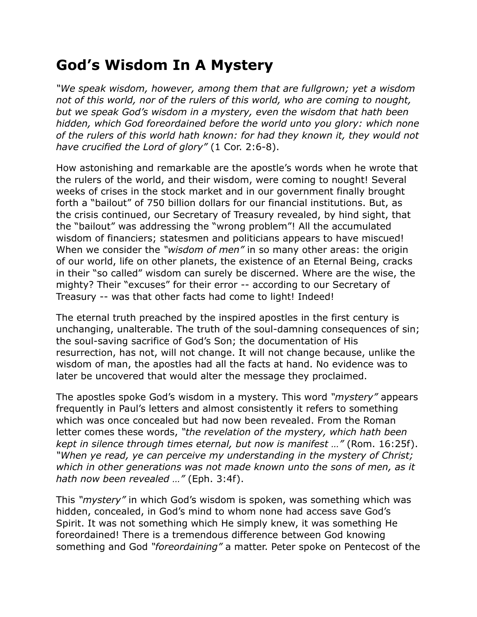## **God's Wisdom In A Mystery**

*"We speak wisdom, however, among them that are fullgrown; yet a wisdom not of this world, nor of the rulers of this world, who are coming to nought, but we speak God's wisdom in a mystery, even the wisdom that hath been hidden, which God foreordained before the world unto you glory: which none of the rulers of this world hath known: for had they known it, they would not have crucified the Lord of glory"* (1 Cor. 2:6-8).

How astonishing and remarkable are the apostle's words when he wrote that the rulers of the world, and their wisdom, were coming to nought! Several weeks of crises in the stock market and in our government finally brought forth a "bailout" of 750 billion dollars for our financial institutions. But, as the crisis continued, our Secretary of Treasury revealed, by hind sight, that the "bailout" was addressing the "wrong problem"! All the accumulated wisdom of financiers; statesmen and politicians appears to have miscued! When we consider the *"wisdom of men"* in so many other areas: the origin of our world, life on other planets, the existence of an Eternal Being, cracks in their "so called" wisdom can surely be discerned. Where are the wise, the mighty? Their "excuses" for their error -- according to our Secretary of Treasury -- was that other facts had come to light! Indeed!

The eternal truth preached by the inspired apostles in the first century is unchanging, unalterable. The truth of the soul-damning consequences of sin; the soul-saving sacrifice of God's Son; the documentation of His resurrection, has not, will not change. It will not change because, unlike the wisdom of man, the apostles had all the facts at hand. No evidence was to later be uncovered that would alter the message they proclaimed.

The apostles spoke God's wisdom in a mystery. This word *"mystery"* appears frequently in Paul's letters and almost consistently it refers to something which was once concealed but had now been revealed. From the Roman letter comes these words, *"the revelation of the mystery, which hath been kept in silence through times eternal, but now is manifest …"* (Rom. 16:25f). *"When ye read, ye can perceive my understanding in the mystery of Christ; which in other generations was not made known unto the sons of men, as it hath now been revealed …"* (Eph. 3:4f).

This *"mystery"* in which God's wisdom is spoken, was something which was hidden, concealed, in God's mind to whom none had access save God's Spirit. It was not something which He simply knew, it was something He foreordained! There is a tremendous difference between God knowing something and God *"foreordaining"* a matter. Peter spoke on Pentecost of the